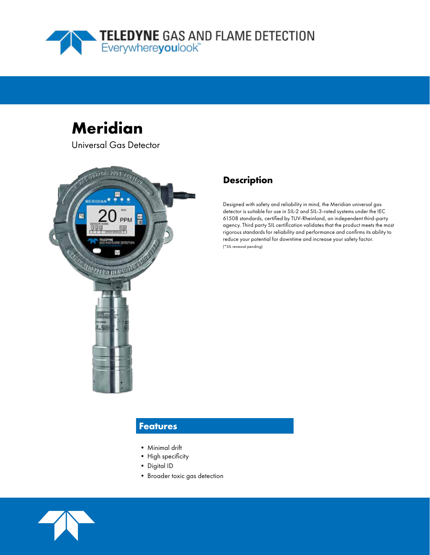

# **Meridian**

Universal Gas Detector



## **Description**

Designed with safety and reliability in mind, the Meridian universal gas detector is suitable for use in SIL-2 and SIL-3-rated systems under the IEC 61508 standards, certified by TUV-Rheinland, an independent third-party agency. Third party SIL certification validates that the product meets the most rigorous standards for reliability and performance and confirms its ability to reduce your potential for downtime and increase your safety factor. (\*SIL renewal pending)

### **Features**

- Minimal drift
- High specificity
- Digital ID
- Broader toxic gas detection

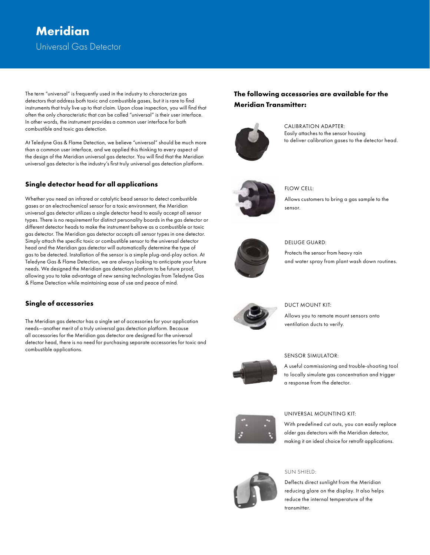## Universal Gas Detector **Meridian**

The term "universal" is frequently used in the industry to characterize gas detectors that address both toxic and combustible gases, but it is rare to find instruments that truly live up to that claim. Upon close inspection, you will find that often the only characteristic that can be called "universal" is their user interface. In other words, the instrument provides a common user interface for both combustible and toxic gas detection.

At Teledyne Gas & Flame Detection, we believe "universal" should be much more than a common user interface, and we applied this thinking to every aspect of the design of the Meridian universal gas detector. You will find that the Meridian universal gas detector is the industry's first truly universal gas detection platform.

### **Single detector head for all applications**

Whether you need an infrared or catalytic bead sensor to detect combustible gases or an electrochemical sensor for a toxic environment, the Meridian universal gas detector utilizes a single detector head to easily accept all sensor types. There is no requirement for distinct personality boards in the gas detector or different detector heads to make the instrument behave as a combustible or toxic gas detector. The Meridian gas detector accepts all sensor types in one detector. Simply attach the specific toxic or combustible sensor to the universal detector head and the Meridian gas detector will automatically determine the type of gas to be detected. Installation of the sensor is a simple plug-and-play action. At Teledyne Gas & Flame Detection, we are always looking to anticipate your future needs. We designed the Meridian gas detection platform to be future proof, allowing you to take advantage of new sensing technologies from Teledyne Gas & Flame Detection while maintaining ease of use and peace of mind.

### **Single of accessories**

The Meridian gas detector has a single set of accessories for your application needs—another merit of a truly universal gas detection platform. Because all accessories for the Meridian gas detector are designed for the universal detector head, there is no need for purchasing separate accessories for toxic and combustible applications.

### **The following accessories are available for the Meridian Transmitter:**



CALIBRATION ADAPTER: Easily attaches to the sensor housing to deliver calibration gases to the detector head.



FLOW CELL:

Allows customers to bring a gas sample to the sensor.



#### DELUGE GUARD:

Protects the sensor from heavy rain and water spray from plant wash down routines.



#### DUCT MOUNT KIT:

Allows you to remote mount sensors onto ventilation ducts to verify.



#### SENSOR SIMULATOR:

A useful commissioning and trouble-shooting tool to locally simulate gas concentration and trigger a response from the detector.



#### UNIVERSAL MOUNTING KIT:

With predefined cut outs, you can easily replace older gas detectors with the Meridian detector, making it an ideal choice for retrofit applications.



#### SUN SHIELD:

Deflects direct sunlight from the Meridian reducing glare on the display. It also helps reduce the internal temperature of the transmitter.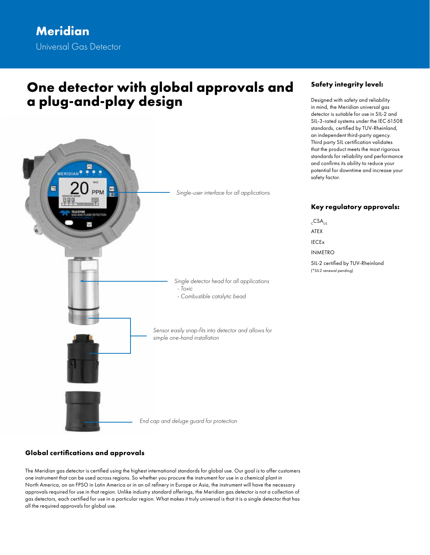## **One detector with global approvals and a plug-and-play design**



### **Safety integrity level:**

Designed with safety and reliability in mind, the Meridian universal gas detector is suitable for use in SIL-2 and SIL-3-rated systems under the IEC 61508 standards, certified by TUV-Rheinland, an independent third-party agency. Third party SIL certification validates that the product meets the most rigorous standards for reliability and performance and confirms its ability to reduce your potential for downtime and increase your safety factor.

### **Key regulatory approvals:**

 $CSA<sub>US</sub>$ ATEX IECEx INMETRO SIL-2 certified by TUV-Rheinland (\*SIL2 renewal pending)

### **Global certifications and approvals**

The Meridian gas detector is certified using the highest international standards for global use. Our goal is to offer customers one instrument that can be used across regions. So whether you procure the instrument for use in a chemical plant in North America, on an FPSO in Latin America or in an oil refinery in Europe or Asia, the instrument will have the necessary approvals required for use in that region. Unlike industry standard offerings, the Meridian gas detector is not a collection of gas detectors, each certified for use in a particular region. What makes it truly universal is that it is a single detector that has all the required approvals for global use.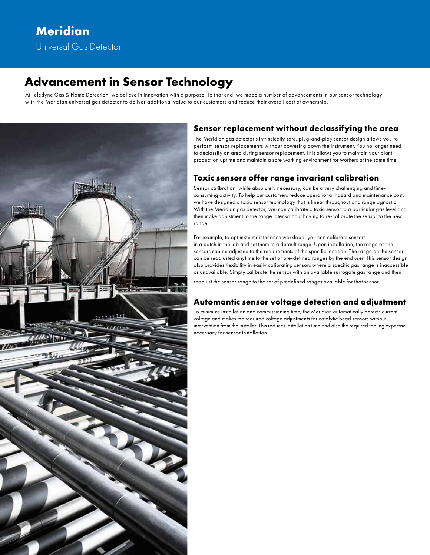## **Advancement in Sensor Technology**

At Teledyne Gas & Flame Detection, we believe in innovation with a purpose. To that end, we made a number of advancements in our sensor technology with the Meridian universal gas detector to deliver additional value to our customers and reduce their overall cost of ownership.



### **Sensor replacement without declassifying the area**

The Meridian gas detector's intrinsically safe, plug-and-play sensor design allows you to perform sensor replacements without powering down the instrument. You no longer need to declassify an area during sensor replacement. This allows you to maintain your plant production uptime and maintain a safe working environment for workers at the same time.

### **Toxic sensors offer range invariant calibration**

Sensor calibration, while absolutely necessary, can be a very challenging and timeconsuming activity. To help our customers reduce operational hazard and maintenance cost, we have designed a toxic sensor technology that is linear throughout and range agnostic. With the Meridian gas detector, you can calibrate a toxic sensor to a particular gas level and then make adjustment to the range later without having to re-calibrate the sensor to the new range.

For example, to optimize maintenance workload, you can calibrate sensors in a batch in the lab and set them to a default range. Upon installation, the range on the sensors can be adjusted to the requirements of the specific location. The range on the sensor can be readjusted anytime to the set of pre-defined ranges by the end user. This sensor design also provides flexibility in easily calibrating sensors where a specific gas range is inaccessible or unavailable. Simply calibrate the sensor with an available surrogate gas range and then readjust the sensor range to the set of predefined ranges available for that sensor.

### **Automantic sensor voltage detection and adjustment**

To minimize installation and commissioning time, the Meridian automatically detects current voltage and makes the required voltage adjustments for catalytic bead sensors without intervention from the installer. This reduces installation time and also the required tooling expertise necessary for sensor installation.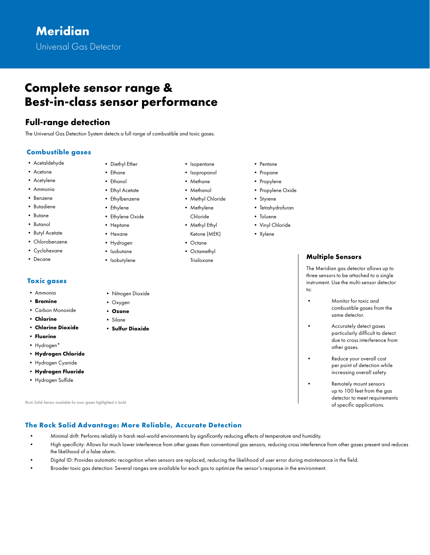## **Complete sensor range & Best-in-class sensor performance**

### **Full-range detection**

The Universal Gas Detection System detects a full range of combustible and toxic gases.

### **Combustible gases**

- Acetaldehyde
- Acetone
- Acetylene
- Ammonia
- Benzene
- Butadiene
- Butane
- Butanol
- Butyl Acetate
- Chlorobenzene
- Cyclohexane
- Decane

### **Toxic gases**

- Ammonia
- **Bromine**
- Carbon Monoxide
- **Chlorine**
- **Chlorine Dioxide**
- **Fluorine**
- Hydrogen\*
- **Hydrogen Chloride**
- Hydrogen Cyanide
- **Hydrogen Fluoride**
- Hydrogen Sulfide

*Rock Solid Sensor available for toxic gases highlighted in bold.* 

- Diethyl Ether
	-
- 
- 
- 
- 
- 
- Hexane
- Hydrogen
- Isobutane
- Isobutylene
- -
	- Chloride
	- Methyl Ethyl Ketone (MEK)
	- Octane
	-
	- Trisiloxane
- Pentane
- Propane
- Propylene
- Propylene Oxide
- Styrene
- Tetrahydrofuran
- Toluene
- Vinyl Chloride
- Xylene

### **Multiple Sensors**

The Meridian gas detector allows up to three sensors to be attached to a single instrument. Use the multi-sensor detector to:

- Monitor for toxic and combustible gases from the same detector.
- Accurately detect gases particularly difficult to detect due to cross interference from other gases.
- Reduce your overall cost per point of detection while increasing overall safety.
- Remotely mount sensors up to 100 feet from the gas detector to meet requirements of specific applications.

### **The Rock Solid Advantage: More Reliable, Accurate Detection**

- Minimal drift: Performs reliably in harsh real-world environments by significantly reducing effects of temperature and humidity.
- High specificity: Allows for much lower interference from other gases than conventional gas sensors, reducing cross interference from other gases present and reduces the likelihood of a false alarm.
- Digital ID: Provides automatic recognition when sensors are replaced, reducing the likelihood of user error during maintenance in the field.
- Broader toxic gas detection: Several ranges are available for each gas to optimize the sensor's response in the environment.
- Nitrogen Dioxide
- Oxygen • **Ozone**
- Silane
- **Sulfur Dioxide**

• Isopropanol • Methane

• Isopentane

- Methanol
- Methyl Chloride
- Methylene

• Octamethyl

- Ethane • Ethanol • Ethyl Acetate
- Ethylbenzene
- Ethylene
- Ethylene Oxide
- Heptane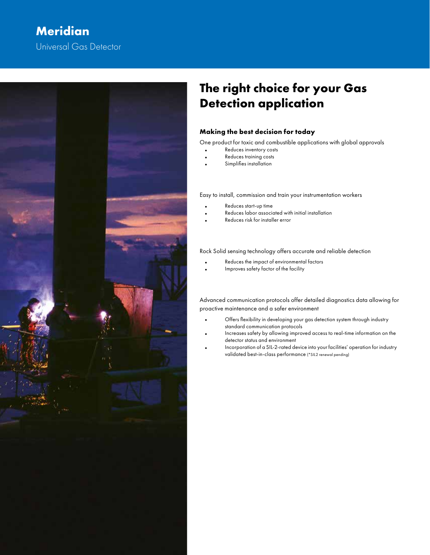## Universal Gas Detector **Meridian**



## **The right choice for your Gas Detection application**

### **Making the best decision for today**

One product for toxic and combustible applications with global approvals

- Reduces inventory costs
- Reduces training costs
- Simplifies installation

Easy to install, commission and train your instrumentation workers

- Reduces start-up time
- Reduces labor associated with initial installation
- Reduces risk for installer error

Rock Solid sensing technology offers accurate and reliable detection

- Reduces the impact of environmental factors
- Improves safety factor of the facility

Advanced communication protocols offer detailed diagnostics data allowing for proactive maintenance and a safer environment

- Offers flexibility in developing your gas detection system through industry standard communication protocols
- Increases safety by allowing improved access to real-time information on the detector status and environment
- Incorporation of a SIL-2-rated device into your facilities' operation for industry validated best-in-class performance (\*SIL2 renewal pending)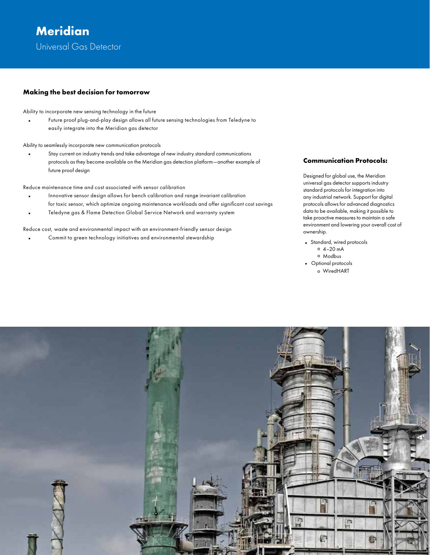### **Making the best decision for tomorrow**

Ability to incorporate new sensing technology in the future

• Future proof plug-and-play design allows all future sensing technologies from Teledyne to easily integrate into the Meridian gas detector

Ability to seamlessly incorporate new communication protocols

• Stay current on industry trends and take advantage of new industry standard communications protocols as they become available on the Meridian gas detection platform—another example of future proof design

Reduce maintenance time and cost associated with sensor calibration

- Innovative sensor design allows for bench calibration and range invariant calibration for toxic sensor, which optimize ongoing maintenance workloads and offer significant cost savings
- Teledyne gas & Flame Detection Global Service Network and warranty system

Reduce cost, waste and environmental impact with an environment-friendly sensor design

• Commit to green technology initiatives and environmental stewardship

### **Communication Protocols:**

Designed for global use, the Meridian universal gas detector supports industry standard protocols for integration into any industrial network. Support for digital protocols allows for advanced diagnostics data to be available, making it possible to take proactive measures to maintain a safe environment and lowering your overall cost of ownership.

• Standard, wired protocols  $0, 4-20$  mA ° Modbus • Optional protocols o WiredHART